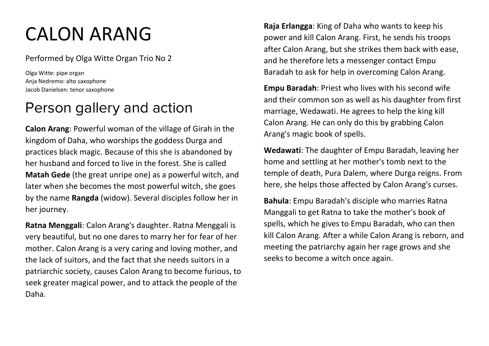## CALON ARANG

## Performed by Olga Witte Organ Trio No 2

Olga Witte: pipe organ Anja Nedremo: alto saxophone Jacob Danielsen: tenor saxophone

## Person gallery and action

**Calon Arang**: Powerful woman of the village of Girah in the kingdom of Daha, who worships the goddess Durga and practices black magic. Because of this she is abandoned by her husband and forced to live in the forest. She is called **Matah Gede** (the great unripe one) as a powerful witch, and later when she becomes the most powerful witch, she goes by the name **Rangda** (widow). Several disciples follow her in her journey.

**Ratna Menggali**: Calon Arang's daughter. Ratna Menggali is very beautiful, but no one dares to marry her for fear of her mother. Calon Arang is a very caring and loving mother, and the lack of suitors, and the fact that she needs suitors in a patriarchic society, causes Calon Arang to become furious, to seek greater magical power, and to attack the people of the Daha.

**Raja Erlangga**: King of Daha who wants to keep his power and kill Calon Arang. First, he sends his troops after Calon Arang, but she strikes them back with ease, and he therefore lets a messenger contact Empu Baradah to ask for help in overcoming Calon Arang.

**Empu Baradah**: Priest who lives with his second wife and their common son as well as his daughter from first marriage, Wedawati. He agrees to help the king kill Calon Arang. He can only do this by grabbing Calon Arang's magic book of spells.

**Wedawati**: The daughter of Empu Baradah, leaving her home and settling at her mother's tomb next to the temple of death, Pura Dalem, where Durga reigns. From here, she helps those affected by Calon Arang's curses.

**Bahula**: Empu Baradah's disciple who marries Ratna Manggali to get Ratna to take the mother's book of spells, which he gives to Empu Baradah, who can then kill Calon Arang. After a while Calon Arang is reborn, and meeting the patriarchy again her rage grows and she seeks to become a witch once again.